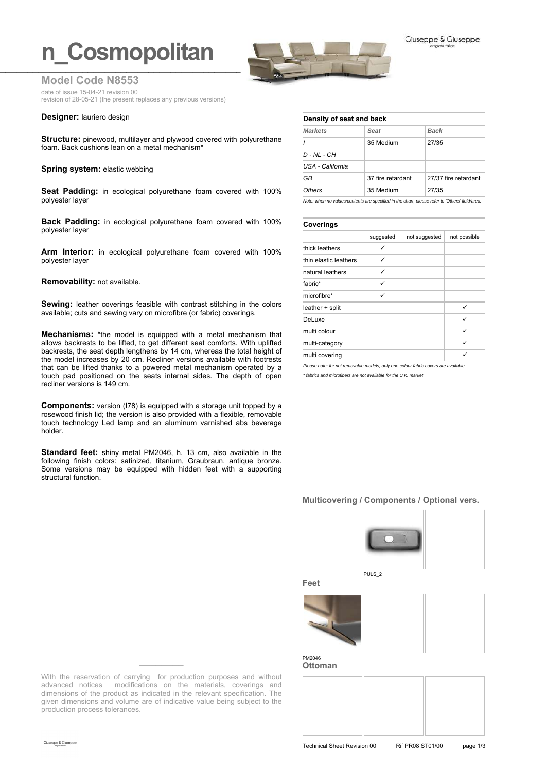# **n** Cosmopolitan



**Model Code N8553**

date of issue 15-04-21 revision 00 revision of 28-05-21 (the present replaces any previous versions)

### **Designer:** lauriero design

**Structure:** pinewood, multilayer and plywood covered with polyurethane foam. Back cushions lean on a metal mechanism\*

### **Spring system: elastic webbing**

**Seat Padding:** in ecological polyurethane foam covered with 100% polyester layer

**Back Padding:** in ecological polyurethane foam covered with 100% polyester layer

**Arm Interior:** in ecological polyurethane foam covered with 100% polyester layer

### **Removability:** not available.

**Sewing:** leather coverings feasible with contrast stitching in the colors available; cuts and sewing vary on microfibre (or fabric) coverings.

**Mechanisms:** \*the model is equipped with a metal mechanism that allows backrests to be lifted, to get different seat comforts. With uplifted backrests, the seat depth lengthens by 14 cm, whereas the total height of the model increases by 20 cm. Recliner versions available with footrests that can be lifted thanks to a powered metal mechanism operated by a touch pad positioned on the seats internal sides. The depth of open recliner versions is 149 cm.

**Components:** version (I78) is equipped with a storage unit topped by a rosewood finish lid; the version is also provided with a flexible, removable touch technology Led lamp and an aluminum varnished abs beverage holder.

**Standard feet:** shiny metal PM2046, h. 13 cm, also available in the following finish colors: satinized, titanium, Graubraun, antique bronze. Some versions may be equipped with hidden feet with a supporting structural function.

| <b>Markets</b>   | Seat              | <b>Back</b>          |  |
|------------------|-------------------|----------------------|--|
|                  | 35 Medium         | 27/35                |  |
| $D - NL - CH$    |                   |                      |  |
| USA - California |                   |                      |  |
| GB               | 37 fire retardant | 27/37 fire retardant |  |
| Others           | 35 Medium         | 27/35                |  |

*Note: when no values/contents are specified in the chart, please refer to 'Others' field/area.*

# **Coverings**

|                       | suggested | not suggested | not possible |  |
|-----------------------|-----------|---------------|--------------|--|
| thick leathers        |           |               |              |  |
| thin elastic leathers | ✓         |               |              |  |
| natural leathers      | ✓         |               |              |  |
| fabric*               | ✓         |               |              |  |
| microfibre*           | ✓         |               |              |  |
| leather + split       |           |               | ✓            |  |
| DeLuxe                |           |               | ✓            |  |
| multi colour          |           |               | ✓            |  |
| multi-category        |           |               | ✓            |  |
| multi covering        |           |               |              |  |

*Please note: for not removable models, only one colour fabric covers are available.*

*\* fabrics and microfibers are not available for the U.K. market*

## **Multicovering / Components / Optional vers.**



**Feet**



**Ottoman**



With the reservation of carrying for production purposes and without advanced notices modifications on the materials, coverings and dimensions of the product as indicated in the relevant specification. The given dimensions and volume are of indicative value being subject to the production process tolerances.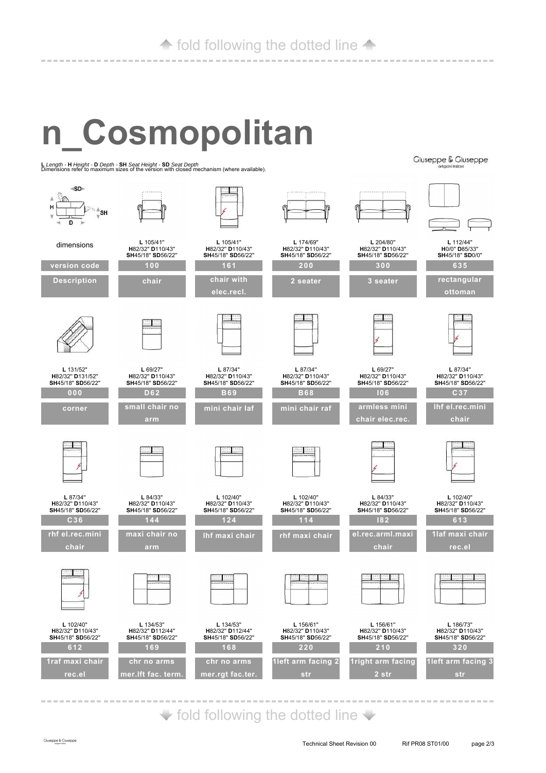# **n\_Cosmopolitan**

**<sup>L</sup>***Length -* **<sup>H</sup>***Height -* **<sup>D</sup>***Depth -* **SH** *Seat Height -* **SD** *Seat Depth* Dimensions refer to maximum sizes of the version with closed mechanism (where available).

 $SD<sub>2</sub>$  $\mathbb{R}^n$  $H$ ≍ ≜sh  $\mathbf{D}$ **L** 105/41'' **L** 204/80'' **L** 112/44'' **L** 105/41'' **L** 174/69'' dimensions **H**0/0'' **D**85/33'' **H**82/32'' **D**110/43'' **SH**45/18'' **SD**56/22'' **H**82/32'' **D**110/43'' **SH**45/18'' **SD**56/22'' **H**82/32'' **D**110/43'' **SH**45/18'' **SD**56/22'' **H**82/32'' **D**110/43'' **SH**45/18'' **SD**56/22'' **SH**45/18'' **SD**0/0'' **version code 100 200 300 161 635 Description chair chair with 2 seater 3 seater rectangular elec.recl. ottoman L** 131/52'' **L** 69/27'' **L** 87/34'' **L** 87/34'' **L** 69/27'' **L** 87/34'' **H**82/32'' **D**110/43'' **H**82/32'' **D**131/52'' **H**82/32'' **D**110/43'' **SH**45/18'' **SD**56/22'' **H**82/32'' **D**110/43'' **SH**45/18'' **SD**56/22'' **H**82/32'' **D**110/43'' **SH**45/18'' **SD**56/22'' **H**82/32'' **D**110/43'' **SH**45/18'' **SD**56/22'' **SH**45/18'' **SD**56/22'' **SH**45/18'' **SD**56/22'' **000 D62 B69 B68 I06 C37 small chair no armless mini lhf el.rec.mini mini chair laf mini chair raf corner chair elec.rec. chair arm L** 87/34'' **L** 102/40'' **L** 102/40'' **L** 84/33'' **L** 102/40'' **L** 84/33'' **H**82/32'' **D**110/43'' **H**82/32'' **D**110/43'' **H**82/32'' **D**110/43'' **H**82/32'' **D**110/43'' **H**82/32'' **D**110/43'' **H**82/32'' **D**110/43'' **SH**45/18'' **SD**56/22'' **SH**45/18'' **SD**56/22'' **SH**45/18'' **SD**56/22'' **SH**45/18'' **SD**56/22'' **SH**45/18'' **SD**56/22'' **SH**45/18'' **SD**56/22'' **144 124 C36 114 I82 613 rhf el.rec.mini maxi chair no 1laf maxi chair lhf maxi chair rhf maxi chair el.rec.arml.maxi chair arm chair rec.el L** 102/40'' **L** 134/53'' **L** 134/53'' **L** 156/61'' **L** 156/61'' **L** 186/73'' **H**82/32'' **D**110/43'' **SH**45/18'' **SD**56/22'' **H**82/32'' **D**112/44'' **SH**45/18'' **SD**56/22'' **H**82/32'' **D**112/44'' **SH**45/18'' **SD**56/22'' **H**82/32'' **D**110/43'' **SH**45/18'' **SD**56/22'' **H**82/32'' **D**110/43'' **SH**45/18'' **SD**56/22'' **H**82/32'' **D**110/43'' **SH**45/18'' **SD**56/22'' **612 169 168 220 210 320 1raf maxi chair chr no arms chr no arms 1left arm facing 2 1right arm facing 1left arm facing 3 mer.lft fac. term. mer.rgt fac.ter. 2 str rec.el str str**

 $\blacktriangleright$  fold following the dotted line  $\blacktriangleright$ 

**Ciuseppe & Ciuseppe**